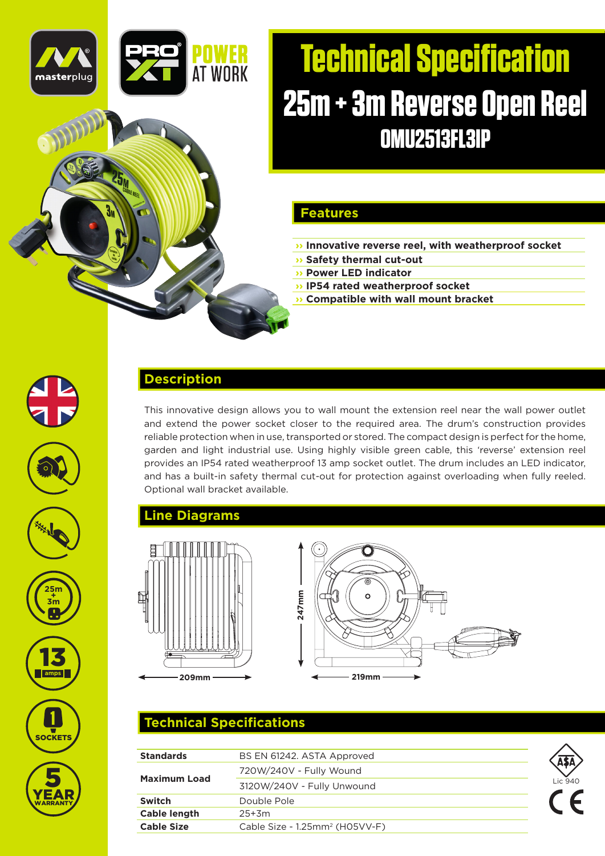

# **Technical Specification 25m + 3m Reverse Open Reel OMU2513FL3IP**

#### **Features**

- **›› Innovative reverse reel, with weatherproof socket**
- **›› Safety thermal cut-out**
- **›› Power LED indicator ›› IP54 rated weatherproof socket**
- **›› Compatible with wall mount bracket**















# YEAR 5 **WARRANTY**

#### **Description**

This innovative design allows you to wall mount the extension reel near the wall power outlet and extend the power socket closer to the required area. The drum's construction provides reliable protection when in use, transported or stored. The compact design is perfect for the home, garden and light industrial use. Using highly visible green cable, this 'reverse' extension reel provides an IP54 rated weatherproof 13 amp socket outlet. The drum includes an LED indicator, and has a built-in safety thermal cut-out for protection against overloading when fully reeled. Optional wall bracket available.

#### **Line Diagrams**



# **209mm 219mm 247mm**

## **Technical Specifications**

| <b>Standards</b>    | BS EN 61242. ASTA Approved                 |         |
|---------------------|--------------------------------------------|---------|
|                     | 720W/240V - Fully Wound                    |         |
| <b>Maximum Load</b> | 3120W/240V - Fully Unwound                 | Lic 940 |
| Switch              | Double Pole                                |         |
| Cable length        | $25+3m$                                    |         |
| <b>Cable Size</b>   | Cable Size - 1.25mm <sup>2</sup> (H05VV-F) |         |